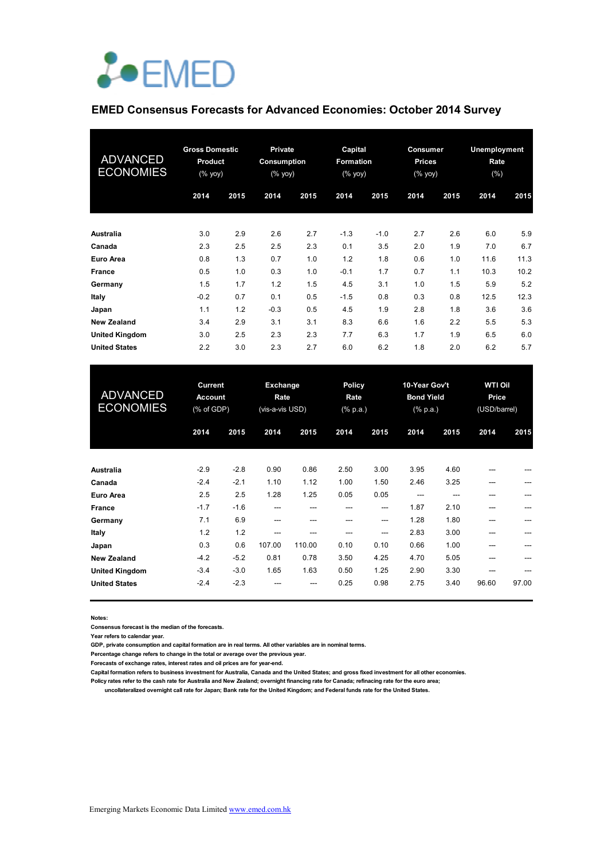

#### **EMED Consensus Forecasts for Advanced Economies: October 2014 Survey**

| <b>ADVANCED</b><br><b>ECONOMIES</b> | <b>Gross Domestic</b><br>Product<br>$(%$ (% yoy) |      | <b>Private</b><br>Consumption<br>$(% \mathsf{Y}^{\prime }\mathsf{Y}^{\prime }\mathsf{Y})$ (% $\mathsf{Y}^{\prime }\mathsf{Y})$ |      | Capital<br>Formation<br>(% yoy) |        | Consumer<br><b>Prices</b><br>(% yoy) |      | Unemployment<br>Rate<br>(% ) |      |
|-------------------------------------|--------------------------------------------------|------|--------------------------------------------------------------------------------------------------------------------------------|------|---------------------------------|--------|--------------------------------------|------|------------------------------|------|
|                                     | 2014                                             | 2015 | 2014                                                                                                                           | 2015 | 2014                            | 2015   | 2014                                 | 2015 | 2014                         | 2015 |
| <b>Australia</b>                    | 3.0                                              | 2.9  | 2.6                                                                                                                            | 2.7  | $-1.3$                          | $-1.0$ | 2.7                                  | 2.6  | 6.0                          | 5.9  |
| Canada                              | 2.3                                              | 2.5  | 2.5                                                                                                                            | 2.3  | 0.1                             | 3.5    | 2.0                                  | 1.9  | 7.0                          | 6.7  |
| Euro Area                           | 0.8                                              | 1.3  | 0.7                                                                                                                            | 1.0  | 1.2                             | 1.8    | 0.6                                  | 1.0  | 11.6                         | 11.3 |
| France                              | 0.5                                              | 1.0  | 0.3                                                                                                                            | 1.0  | $-0.1$                          | 1.7    | 0.7                                  | 1.1  | 10.3                         | 10.2 |
| Germany                             | 1.5                                              | 1.7  | 1.2                                                                                                                            | 1.5  | 4.5                             | 3.1    | 1.0                                  | 1.5  | 5.9                          | 5.2  |
| Italy                               | $-0.2$                                           | 0.7  | 0.1                                                                                                                            | 0.5  | $-1.5$                          | 0.8    | 0.3                                  | 0.8  | 12.5                         | 12.3 |
| Japan                               | 1.1                                              | 1.2  | $-0.3$                                                                                                                         | 0.5  | 4.5                             | 1.9    | 2.8                                  | 1.8  | 3.6                          | 3.6  |
| <b>New Zealand</b>                  | 3.4                                              | 2.9  | 3.1                                                                                                                            | 3.1  | 8.3                             | 6.6    | 1.6                                  | 2.2  | 5.5                          | 5.3  |
| <b>United Kingdom</b>               | 3.0                                              | 2.5  | 2.3                                                                                                                            | 2.3  | 7.7                             | 6.3    | 1.7                                  | 1.9  | 6.5                          | 6.0  |
| <b>United States</b>                | 2.2                                              | 3.0  | 2.3                                                                                                                            | 2.7  | 6.0                             | 6.2    | 1.8                                  | 2.0  | 6.2                          | 5.7  |

| <b>ADVANCED</b><br><b>ECONOMIES</b> | <b>Current</b><br><b>Account</b><br>(% of GDP) |        | <b>Exchange</b><br>Rate<br>(vis-a-vis USD) |        | <b>Policy</b><br>Rate<br>$(% \mathbb{R}^2)$ (% p.a.) |       | 10-Year Gov't<br><b>Bond Yield</b><br>$(% \mathbb{R}^2)$ (% p.a.) |      | <b>WTI Oil</b><br>Price<br>(USD/barrel) |       |
|-------------------------------------|------------------------------------------------|--------|--------------------------------------------|--------|------------------------------------------------------|-------|-------------------------------------------------------------------|------|-----------------------------------------|-------|
|                                     | 2014                                           | 2015   | 2014                                       | 2015   | 2014                                                 | 2015  | 2014                                                              | 2015 | 2014                                    | 2015  |
| Australia                           | $-2.9$                                         | $-2.8$ | 0.90                                       | 0.86   | 2.50                                                 | 3.00  | 3.95                                                              | 4.60 |                                         |       |
| Canada                              | $-2.4$                                         | $-2.1$ | 1.10                                       | 1.12   | 1.00                                                 | 1.50  | 2.46                                                              | 3.25 | ---                                     |       |
| Euro Area                           | 2.5                                            | 2.5    | 1.28                                       | 1.25   | 0.05                                                 | 0.05  | ---                                                               |      |                                         |       |
| <b>France</b>                       | $-1.7$                                         | $-1.6$ | ---                                        | ---    |                                                      | ---   | 1.87                                                              | 2.10 |                                         |       |
| Germany                             | 7.1                                            | 6.9    | $---$                                      | ---    |                                                      | $---$ | 1.28                                                              | 1.80 |                                         |       |
| Italy                               | 1.2                                            | 1.2    | ---                                        |        |                                                      | $---$ | 2.83                                                              | 3.00 | ---                                     |       |
| Japan                               | 0.3                                            | 0.6    | 107.00                                     | 110.00 | 0.10                                                 | 0.10  | 0.66                                                              | 1.00 |                                         |       |
| <b>New Zealand</b>                  | $-4.2$                                         | $-5.2$ | 0.81                                       | 0.78   | 3.50                                                 | 4.25  | 4.70                                                              | 5.05 |                                         |       |
| <b>United Kingdom</b>               | $-3.4$                                         | $-3.0$ | 1.65                                       | 1.63   | 0.50                                                 | 1.25  | 2.90                                                              | 3.30 |                                         |       |
| <b>United States</b>                | $-2.4$                                         | $-2.3$ |                                            |        | 0.25                                                 | 0.98  | 2.75                                                              | 3.40 | 96.60                                   | 97.00 |

**Notes:** 

**Consensus forecast is the median of the forecasts.**

**Year refers to calendar year.**

**GDP, private consumption and capital formation are in real terms. All other variables are in nominal terms.**

**Percentage change refers to change in the total or average over the previous year.**

**Forecasts of exchange rates, interest rates and oil prices are for year-end.**

**Capital formation refers to business investment for Australia, Canada and the United States; and gross fixed investment for all other economies.**

**Policy rates refer to the cash rate for Australia and New Zealand; overnight financing rate for Canada; refinacing rate for the euro area; uncollateralized overnight call rate for Japan; Bank rate for the United Kingdom; and Federal funds rate for the United States.**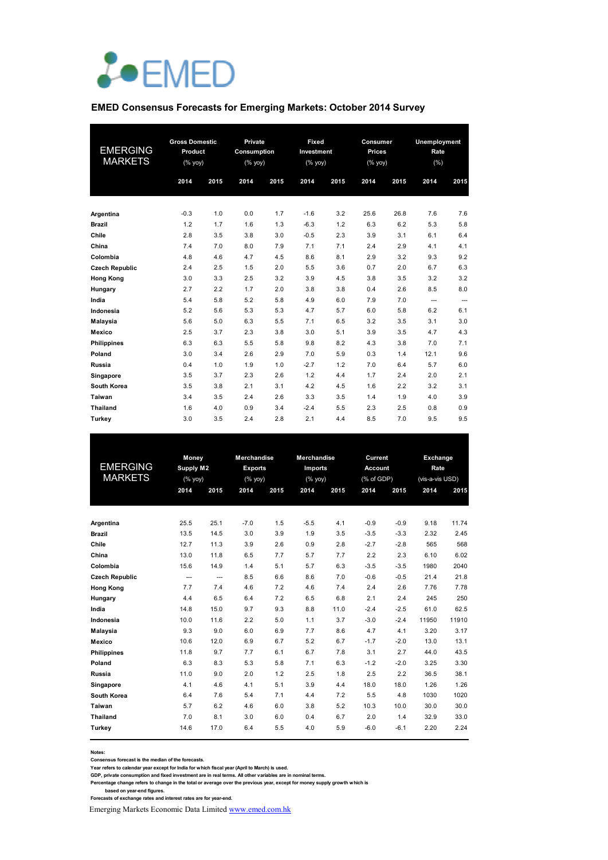

#### **EMED Consensus Forecasts for Emerging Markets: October 2014 Survey**

| <b>EMERGING</b><br><b>MARKETS</b> | <b>Gross Domestic</b><br>Product<br>(% yoy) |      | Private<br>Consumption<br>(% |      | Fixed<br>Investment<br>$(%$ yoy) |      | Consumer<br><b>Prices</b><br>$(%$ yoy) |      | Unemployment<br>Rate<br>(%) |      |  |
|-----------------------------------|---------------------------------------------|------|------------------------------|------|----------------------------------|------|----------------------------------------|------|-----------------------------|------|--|
|                                   | 2014                                        | 2015 | 2014                         | 2015 | 2014                             | 2015 | 2014                                   | 2015 | 2014                        | 2015 |  |
| Argentina                         | $-0.3$                                      | 1.0  | 0.0                          | 1.7  | $-1.6$                           | 3.2  | 25.6                                   | 26.8 | 7.6                         | 7.6  |  |
| <b>Brazil</b>                     | 1.2                                         | 1.7  | 1.6                          | 1.3  | $-6.3$                           | 1.2  | 6.3                                    | 6.2  | 5.3                         | 5.8  |  |
| Chile                             | 2.8                                         | 3.5  | 3.8                          | 3.0  | $-0.5$                           | 2.3  | 3.9                                    | 3.1  | 6.1                         | 6.4  |  |
| China                             | 7.4                                         | 7.0  | 8.0                          | 7.9  | 7.1                              | 7.1  | 2.4                                    | 2.9  | 4.1                         | 4.1  |  |
| Colombia                          | 4.8                                         | 4.6  | 4.7                          | 4.5  | 8.6                              | 8.1  | 2.9                                    | 3.2  | 9.3                         | 9.2  |  |
| <b>Czech Republic</b>             | 2.4                                         | 2.5  | 1.5                          | 2.0  | 5.5                              | 3.6  | 0.7                                    | 2.0  | 6.7                         | 6.3  |  |
| <b>Hong Kong</b>                  | 3.0                                         | 3.3  | 2.5                          | 3.2  | 3.9                              | 4.5  | 3.8                                    | 3.5  | 3.2                         | 3.2  |  |
| Hungary                           | 2.7                                         | 2.2  | 1.7                          | 2.0  | 3.8                              | 3.8  | 0.4                                    | 2.6  | 8.5                         | 8.0  |  |
| India                             | 5.4                                         | 5.8  | 5.2                          | 5.8  | 4.9                              | 6.0  | 7.9                                    | 7.0  | ---                         | ---  |  |
| Indonesia                         | 5.2                                         | 5.6  | 5.3                          | 5.3  | 4.7                              | 5.7  | 6.0                                    | 5.8  | 6.2                         | 6.1  |  |
| <b>Malaysia</b>                   | 5.6                                         | 5.0  | 6.3                          | 5.5  | 7.1                              | 6.5  | 3.2                                    | 3.5  | 3.1                         | 3.0  |  |
| Mexico                            | 2.5                                         | 3.7  | 2.3                          | 3.8  | 3.0                              | 5.1  | 3.9                                    | 3.5  | 4.7                         | 4.3  |  |
| <b>Philippines</b>                | 6.3                                         | 6.3  | 5.5                          | 5.8  | 9.8                              | 8.2  | 4.3                                    | 3.8  | 7.0                         | 7.1  |  |
| Poland                            | 3.0                                         | 3.4  | 2.6                          | 2.9  | 7.0                              | 5.9  | 0.3                                    | 1.4  | 12.1                        | 9.6  |  |
| Russia                            | 0.4                                         | 1.0  | 1.9                          | 1.0  | $-2.7$                           | 1.2  | 7.0                                    | 6.4  | 5.7                         | 6.0  |  |
| Singapore                         | 3.5                                         | 3.7  | 2.3                          | 2.6  | 1.2                              | 4.4  | 1.7                                    | 2.4  | 2.0                         | 2.1  |  |
| South Korea                       | 3.5                                         | 3.8  | 2.1                          | 3.1  | 4.2                              | 4.5  | 1.6                                    | 2.2  | 3.2                         | 3.1  |  |
| Taiwan                            | 3.4                                         | 3.5  | 2.4                          | 2.6  | 3.3                              | 3.5  | 1.4                                    | 1.9  | 4.0                         | 3.9  |  |
| <b>Thailand</b>                   | 1.6                                         | 4.0  | 0.9                          | 3.4  | $-2.4$                           | 5.5  | 2.3                                    | 2.5  | 0.8                         | 0.9  |  |
| Turkey                            | 3.0                                         | 3.5  | 2.4                          | 2.8  | 2.1                              | 4.4  | 8.5                                    | 7.0  | 9.5                         | 9.5  |  |

|                       | Money     |      | <b>Merchandise</b> |      | <b>Merchandise</b> |      | <b>Current</b>        |        | Exchange        |       |
|-----------------------|-----------|------|--------------------|------|--------------------|------|-----------------------|--------|-----------------|-------|
| <b>EMERGING</b>       | Supply M2 |      | <b>Exports</b>     |      | Imports            |      | <b>Account</b>        |        | Rate            |       |
| <b>MARKETS</b>        | (% yoy)   |      | (% yoy)            |      | (% yoy)            |      | $(% )^{2}(x)$ of GDP) |        | (vis-a-vis USD) |       |
|                       | 2014      | 2015 | 2014               | 2015 | 2014               | 2015 | 2014                  | 2015   | 2014            | 2015  |
|                       |           |      |                    |      |                    |      |                       |        |                 |       |
| Argentina             | 25.5      | 25.1 | $-7.0$             | 1.5  | $-5.5$             | 4.1  | $-0.9$                | $-0.9$ | 9.18            | 11.74 |
| <b>Brazil</b>         | 13.5      | 14.5 | 3.0                | 3.9  | 1.9                | 3.5  | $-3.5$                | $-3.3$ | 2.32            | 2.45  |
| Chile                 | 12.7      | 11.3 | 3.9                | 2.6  | 0.9                | 2.8  | $-2.7$                | $-2.8$ | 565             | 568   |
| China                 | 13.0      | 11.8 | 6.5                | 7.7  | 5.7                | 7.7  | 2.2                   | 2.3    | 6.10            | 6.02  |
| Colombia              | 15.6      | 14.9 | 1.4                | 5.1  | 5.7                | 6.3  | $-3.5$                | $-3.5$ | 1980            | 2040  |
| <b>Czech Republic</b> | ---       | ---  | 8.5                | 6.6  | 8.6                | 7.0  | $-0.6$                | $-0.5$ | 21.4            | 21.8  |
| <b>Hong Kong</b>      | 7.7       | 7.4  | 4.6                | 7.2  | 4.6                | 7.4  | 2.4                   | 2.6    | 7.76            | 7.78  |
| Hungary               | 4.4       | 6.5  | 6.4                | 7.2  | 6.5                | 6.8  | 2.1                   | 2.4    | 245             | 250   |
| India                 | 14.8      | 15.0 | 9.7                | 9.3  | 8.8                | 11.0 | $-2.4$                | $-2.5$ | 61.0            | 62.5  |
| Indonesia             | 10.0      | 11.6 | 2.2                | 5.0  | 1.1                | 3.7  | $-3.0$                | $-2.4$ | 11950           | 11910 |
| <b>Malaysia</b>       | 9.3       | 9.0  | 6.0                | 6.9  | 7.7                | 8.6  | 4.7                   | 4.1    | 3.20            | 3.17  |
| Mexico                | 10.6      | 12.0 | 6.9                | 6.7  | 5.2                | 6.7  | $-1.7$                | $-2.0$ | 13.0            | 13.1  |
| <b>Philippines</b>    | 11.8      | 9.7  | 7.7                | 6.1  | 6.7                | 7.8  | 3.1                   | 2.7    | 44.0            | 43.5  |
| Poland                | 6.3       | 8.3  | 5.3                | 5.8  | 7.1                | 6.3  | $-1.2$                | $-2.0$ | 3.25            | 3.30  |
| Russia                | 11.0      | 9.0  | 2.0                | 1.2  | 2.5                | 1.8  | 2.5                   | 2.2    | 36.5            | 38.1  |
| Singapore             | 4.1       | 4.6  | 4.1                | 5.1  | 3.9                | 4.4  | 18.0                  | 18.0   | 1.26            | 1.26  |
| South Korea           | 6.4       | 7.6  | 5.4                | 7.1  | 4.4                | 7.2  | 5.5                   | 4.8    | 1030            | 1020  |
| Taiwan                | 5.7       | 6.2  | 4.6                | 6.0  | 3.8                | 5.2  | 10.3                  | 10.0   | 30.0            | 30.0  |
| <b>Thailand</b>       | 7.0       | 8.1  | 3.0                | 6.0  | 0.4                | 6.7  | 2.0                   | 1.4    | 32.9            | 33.0  |
| Turkey                | 14.6      | 17.0 | 6.4                | 5.5  | 4.0                | 5.9  | $-6.0$                | $-6.1$ | 2.20            | 2.24  |
|                       |           |      |                    |      |                    |      |                       |        |                 |       |

**Notes:** 

**Consensus forecast is the median of the forecasts.**

Year refers to calendar year except for India for which fiscal year (April to March) is used.<br>GDP, private consumption and fixed investment are in real terms. All other variables are in nominal terms.<br>Percentage change ref

Emerging Markets Economic Data Limited www.emed.com.hk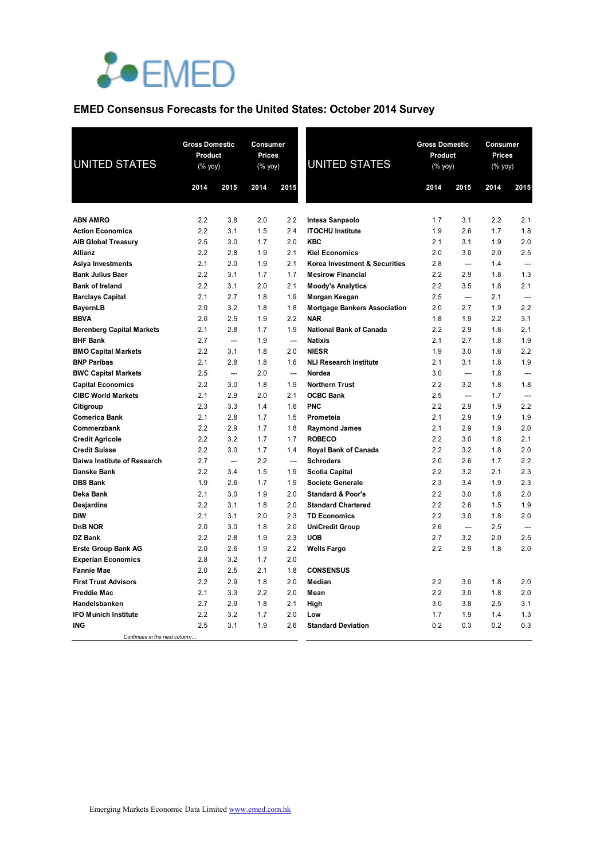

# **EMED Consensus Forecasts for the United States: October 2014 Survey**

| <b>UNITED STATES</b>                              |            | <b>Gross Domestic</b><br>Product<br>(% yoy) |            | Consumer<br>Prices<br>(% yoy) | <b>UNITED STATES</b>                             | <b>Gross Domestic</b><br>Product<br>(% yoy) |                          | Consumer<br><b>Prices</b><br>(% yoy) |                |
|---------------------------------------------------|------------|---------------------------------------------|------------|-------------------------------|--------------------------------------------------|---------------------------------------------|--------------------------|--------------------------------------|----------------|
|                                                   | 2014       | 2015                                        | 2014       | 2015                          |                                                  | 2014                                        | 2015                     | 2014                                 | 2015           |
|                                                   |            |                                             |            |                               |                                                  |                                             |                          |                                      |                |
| <b>ABN AMRO</b>                                   | 2.2        | 3.8                                         | 2.0        | 2.2                           | Intesa Sanpaolo                                  | 1.7                                         | 3.1                      | 2.2                                  | 2.1            |
| <b>Action Economics</b>                           | 2.2        | 3.1                                         | 1.5        | 2.4                           | <b>ITOCHU Institute</b>                          | 1.9                                         | 2.6                      | 1.7                                  | 1.8            |
| <b>AIB Global Treasury</b>                        | 2.5        | 3.0                                         | 1.7        | 2.0                           | <b>KBC</b>                                       | 2.1                                         | 3.1                      | 1.9                                  | 2.0            |
| Allianz                                           | 2.2        | 2.8                                         | 1.9        | 2.1                           | <b>Kiel Economics</b>                            | 2.0                                         | 3.0                      | 2.0                                  | 2.5            |
| Asiya Investments                                 | 2.1        | 2.0                                         | 1.9        | 2.1                           | Korea Investment & Securities                    | 2.8                                         | ---                      | 1.4                                  |                |
| <b>Bank Julius Baer</b><br><b>Bank of Ireland</b> | 2.2<br>2.2 | 3.1<br>3.1                                  | 1.7<br>2.0 | 1.7<br>2.1                    | <b>Mesirow Financial</b>                         | 2.2<br>2.2                                  | 2.9<br>3.5               | 1.8<br>1.8                           | 1.3<br>2.1     |
| <b>Barclays Capital</b>                           | 2.1        | 2.7                                         | 1.8        | 1.9                           | <b>Moody's Analytics</b><br>Morgan Keegan        | 2.5                                         | <u></u>                  | 2.1                                  | $\overline{a}$ |
| <b>BayernLB</b>                                   | 2.0        | 3.2                                         | 1.8        | 1.8                           | <b>Mortgage Bankers Association</b>              | 2.0                                         | 2.7                      | 1.9                                  | 2.2            |
| <b>BBVA</b>                                       | 2.0        | 2.5                                         | 1.9        | 2.2                           | <b>NAR</b>                                       | 1.8                                         | 1.9                      | 2.2                                  | 3.1            |
| <b>Berenberg Capital Markets</b>                  | 2.1        | 2.8                                         | 1.7        | 1.9                           | National Bank of Canada                          | 2.2                                         | 2.9                      | 1.8                                  | 2.1            |
| <b>BHF Bank</b>                                   | 2.7        | ---                                         | 1.9        | ---                           | <b>Natixis</b>                                   | 2.1                                         | 2.7                      | 1.8                                  | 1.9            |
| <b>BMO Capital Markets</b>                        | 2.2        | 3.1                                         | 1.8        | 2.0                           | <b>NIESR</b>                                     | 1.9                                         | 3.0                      | 1.6                                  | 2.2            |
| <b>BNP Paribas</b>                                | 2.1        | 2.8                                         | 1.8        | 1.6                           | <b>NLI Research Institute</b>                    | 2.1                                         | 3.1                      | 1.8                                  | 1.9            |
| <b>BWC Capital Markets</b>                        | 2.5        | $\overline{a}$                              | 2.0        | $\sim$                        | Nordea                                           | 3.0                                         | $\sim$                   | 1.8                                  |                |
| <b>Capital Economics</b>                          | 2.2        | 3.0                                         | 1.8        | 1.9                           | <b>Northern Trust</b>                            | 2.2                                         | 3.2                      | 1.8                                  | 1.8            |
| <b>CIBC World Markets</b>                         | 2.1        | 2.9                                         | 2.0        | 2.1                           | <b>OCBC Bank</b>                                 | 2.5                                         | ---                      | 1.7                                  | ---            |
| Citigroup                                         | 2.3        | 3.3                                         | 1.4        | 1.6                           | <b>PNC</b>                                       | 2.2                                         | 2.9                      | 1.9                                  | 2.2            |
| <b>Comerica Bank</b>                              | 2.1        | 2.8                                         | 1.7        | 1.5                           | Prometeia                                        | 2.1                                         | 2.9                      | 1.9                                  | 1.9            |
| Commerzbank                                       | 2.2        | 2.9                                         | 1.7        | 1.8                           | <b>Raymond James</b>                             | 2.1                                         | 2.9                      | 1.9                                  | 2.0            |
| <b>Credit Agricole</b>                            | 2.2        | 3.2                                         | 1.7        | 1.7                           | <b>ROBECO</b>                                    | 2.2                                         | 3.0                      | 1.8                                  | 2.1            |
| <b>Credit Suisse</b>                              | 2.2        | 3.0                                         | 1.7        | 1.4                           | Royal Bank of Canada                             | 2.2                                         | 3.2                      | 1.8                                  | 2.0            |
| Daiwa Institute of Research                       | 2.7        |                                             | 2.2        | $\overline{\phantom{a}}$      | <b>Schroders</b>                                 | 2.0                                         | 2.6                      | 1.7                                  | 2.2            |
| Danske Bank                                       | 2.2        | 3.4                                         | 1.5        | 1.9                           | <b>Scotia Capital</b>                            | 2.2                                         | 3.2                      | 2.1                                  | 2.3            |
| <b>DBS Bank</b>                                   | 1.9        | 2.6                                         | 1.7        | 1.9                           | <b>Societe Generale</b>                          | 2.3                                         | 3.4                      | 1.9                                  | 2.3            |
| Deka Bank                                         | 2.1        | 3.0                                         | 1.9        | 2.0                           | <b>Standard &amp; Poor's</b>                     | 2.2                                         | 3.0                      | 1.8                                  | 2.0            |
| <b>Desjardins</b><br><b>DIW</b>                   | 2.2<br>2.1 | 3.1<br>3.1                                  | 1.8<br>2.0 | 2.0<br>2.3                    | <b>Standard Chartered</b><br><b>TD Economics</b> | 2.2<br>2.2                                  | 2.6<br>3.0               | 1.5<br>1.8                           | 1.9<br>2.0     |
| <b>DnB NOR</b>                                    | 2.0        | 3.0                                         | 1.8        | 2.0                           | <b>UniCredit Group</b>                           | 2.6                                         | $\overline{\phantom{a}}$ | 2.5                                  | $\overline{a}$ |
| <b>DZ Bank</b>                                    | 2.2        | 2.8                                         | 1.9        | 2.3                           | <b>UOB</b>                                       | 2.7                                         | 3.2                      | 2.0                                  | 2.5            |
| <b>Erste Group Bank AG</b>                        | 2.0        | 2.6                                         | 1.9        | 2.2                           | <b>Wells Fargo</b>                               | 2.2                                         | 2.9                      | 1.8                                  | 2.0            |
| <b>Experian Economics</b>                         | 2.8        | 3.2                                         | 1.7        | 2.0                           |                                                  |                                             |                          |                                      |                |
| <b>Fannie Mae</b>                                 | 2.0        | 2.5                                         | 2.1        | 1.8                           | <b>CONSENSUS</b>                                 |                                             |                          |                                      |                |
| <b>First Trust Advisors</b>                       | 2.2        | 2.9                                         | 1.8        | 2.0                           | Median                                           | 2.2                                         | 3.0                      | 1.8                                  | 2.0            |
| <b>Freddie Mac</b>                                | 2.1        | 3.3                                         | 2.2        | 2.0                           | Mean                                             | 2.2                                         | 3.0                      | 1.8                                  | 2.0            |
| Handelsbanken                                     | 2.7        | 2.9                                         | 1.8        | 2.1                           | High                                             | 3.0                                         | 3.8                      | 2.5                                  | 3.1            |
| <b>IFO Munich Institute</b>                       | 2.2        | 3.2                                         | 1.7        | 2.0                           | Low                                              | 1.7                                         | 1.9                      | 1.4                                  | 1.3            |
| <b>ING</b>                                        | 2.5        | 3.1                                         | 1.9        | 2.6                           | <b>Standard Deviation</b>                        | 0.2                                         | 0.3                      | 0.2                                  | 0.3            |
| Continues in the next column.                     |            |                                             |            |                               |                                                  |                                             |                          |                                      |                |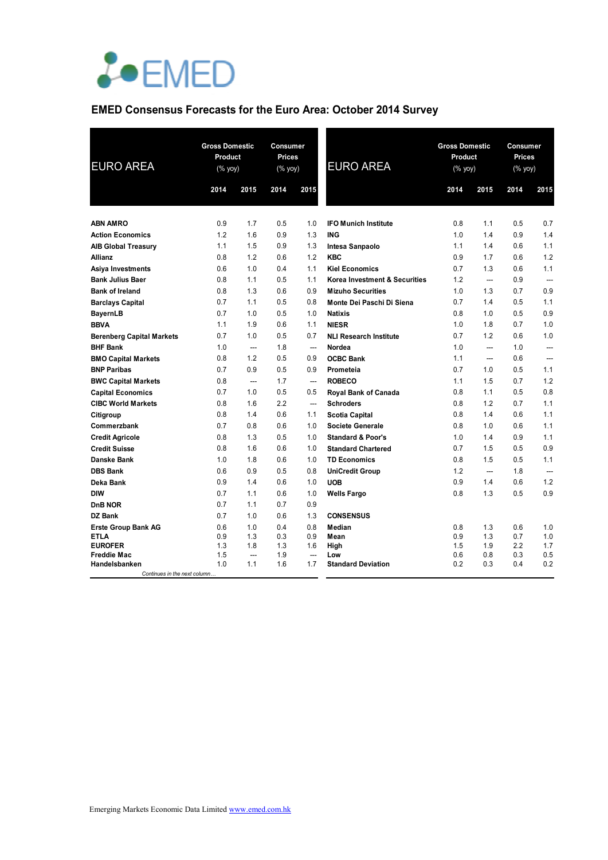

# **EMED Consensus Forecasts for the Euro Area: October 2014 Survey**

| <b>EURO AREA</b>                 | <b>Gross Domestic</b><br>Product<br>$(% \mathsf{Y}^{\prime }\mathsf{Y}^{\prime }\mathsf{Y}^{\prime })$ |                       | Consumer<br><b>Prices</b><br>$(\%$ yoy) |                       | <b>EURO AREA</b>              | <b>Gross Domestic</b><br>Product<br>$(% \mathsf{Yy}$ |                | Consumer<br><b>Prices</b><br>$(% \mathsf{Y}\rightarrow \mathsf{Y})$ |                |
|----------------------------------|--------------------------------------------------------------------------------------------------------|-----------------------|-----------------------------------------|-----------------------|-------------------------------|------------------------------------------------------|----------------|---------------------------------------------------------------------|----------------|
|                                  | 2014                                                                                                   | 2015                  | 2014                                    | 2015                  |                               | 2014                                                 | 2015           | 2014                                                                | 2015           |
|                                  |                                                                                                        |                       |                                         |                       |                               |                                                      |                |                                                                     |                |
| <b>ABN AMRO</b>                  | 0.9                                                                                                    | 1.7                   | 0.5                                     | 1.0                   | <b>IFO Munich Institute</b>   | 0.8                                                  | 1.1            | 0.5                                                                 | 0.7            |
| <b>Action Economics</b>          | 1.2                                                                                                    | 1.6                   | 0.9                                     | 1.3                   | <b>ING</b>                    | 1.0                                                  | 1.4            | 0.9                                                                 | 1.4            |
| <b>AIB Global Treasury</b>       | 1.1                                                                                                    | 1.5                   | 0.9                                     | 1.3                   | Intesa Sanpaolo               | 1.1                                                  | 1.4            | 0.6                                                                 | 1.1            |
| <b>Allianz</b>                   | 0.8                                                                                                    | 1.2                   | 0.6                                     | 1.2                   | <b>KBC</b>                    | 0.9                                                  | 1.7            | 0.6                                                                 | 1.2            |
| Asiya Investments                | 0.6                                                                                                    | 1.0                   | 0.4                                     | 1.1                   | <b>Kiel Economics</b>         | 0.7                                                  | 1.3            | 0.6                                                                 | 1.1            |
| <b>Bank Julius Baer</b>          | 0.8                                                                                                    | 1.1                   | 0.5                                     | 1.1                   | Korea Investment & Securities | 1.2                                                  | ---            | 0.9                                                                 |                |
| <b>Bank of Ireland</b>           | 0.8                                                                                                    | 1.3                   | 0.6                                     | 0.9                   | <b>Mizuho Securities</b>      | 1.0                                                  | 1.3            | 0.7                                                                 | 0.9            |
| <b>Barclays Capital</b>          | 0.7                                                                                                    | 1.1                   | 0.5                                     | 0.8                   | Monte Dei Paschi Di Siena     | 0.7                                                  | 1.4            | 0.5                                                                 | 1.1            |
| <b>BayernLB</b>                  | 0.7                                                                                                    | 1.0                   | 0.5                                     | 1.0                   | <b>Natixis</b>                | 0.8                                                  | 1.0            | 0.5                                                                 | 0.9            |
| <b>BBVA</b>                      | 1.1                                                                                                    | 1.9                   | 0.6                                     | 1.1                   | <b>NIESR</b>                  | 1.0                                                  | 1.8            | 0.7                                                                 | 1.0            |
| <b>Berenberg Capital Markets</b> | 0.7                                                                                                    | 1.0                   | 0.5                                     | 0.7                   | <b>NLI Research Institute</b> | 0.7                                                  | 1.2            | 0.6                                                                 | 1.0            |
| <b>BHF Bank</b>                  | 1.0                                                                                                    | ---                   | 1.8                                     | ---                   | Nordea                        | 1.0                                                  | ---            | 1.0                                                                 | ---            |
| <b>BMO Capital Markets</b>       | 0.8                                                                                                    | 1.2                   | 0.5                                     | 0.9                   | <b>OCBC Bank</b>              | 1.1                                                  | $\overline{a}$ | 0.6                                                                 |                |
| <b>BNP Paribas</b>               | 0.7                                                                                                    | 0.9                   | 0.5                                     | 0.9                   | Prometeia                     | 0.7                                                  | 1.0            | 0.5                                                                 | 1.1            |
| <b>BWC Capital Markets</b>       | 0.8                                                                                                    | $\overline{a}$        | 1.7                                     | $\sim$                | <b>ROBECO</b>                 | 1.1                                                  | 1.5            | 0.7                                                                 | 1.2            |
| <b>Capital Economics</b>         | 0.7                                                                                                    | 1.0                   | 0.5                                     | 0.5                   | Royal Bank of Canada          | 0.8                                                  | 1.1            | 0.5                                                                 | 0.8            |
| <b>CIBC World Markets</b>        | 0.8                                                                                                    | 1.6                   | 2.2                                     | $\overline{a}$        | <b>Schroders</b>              | 0.8                                                  | 1.2            | 0.7                                                                 | 1.1            |
| Citigroup                        | 0.8                                                                                                    | 1.4                   | 0.6                                     | 1.1                   | <b>Scotia Capital</b>         | 0.8                                                  | 1.4            | 0.6                                                                 | 1.1            |
| Commerzbank                      | 0.7                                                                                                    | 0.8                   | 0.6                                     | 1.0                   | <b>Societe Generale</b>       | 0.8                                                  | 1.0            | 0.6                                                                 | 1.1            |
| <b>Credit Agricole</b>           | 0.8                                                                                                    | 1.3                   | 0.5                                     | 1.0                   | <b>Standard &amp; Poor's</b>  | 1.0                                                  | 1.4            | 0.9                                                                 | 1.1            |
| <b>Credit Suisse</b>             | 0.8                                                                                                    | 1.6                   | 0.6                                     | 1.0                   | <b>Standard Chartered</b>     | 0.7                                                  | 1.5            | 0.5                                                                 | 0.9            |
| <b>Danske Bank</b>               | 1.0                                                                                                    | 1.8                   | 0.6                                     | 1.0                   | <b>TD Economics</b>           | 0.8                                                  | 1.5            | 0.5                                                                 | 1.1            |
| <b>DBS Bank</b>                  | 0.6                                                                                                    | 0.9                   | 0.5                                     | 0.8                   | <b>UniCredit Group</b>        | 1.2                                                  | ---            | 1.8                                                                 | $\overline{a}$ |
| Deka Bank                        | 0.9                                                                                                    | 1.4                   | 0.6                                     | 1.0                   | <b>UOB</b>                    | 0.9                                                  | 1.4            | 0.6                                                                 | 1.2            |
| <b>DIW</b>                       | 0.7                                                                                                    | 1.1                   | 0.6                                     | 1.0                   | <b>Wells Fargo</b>            | 0.8                                                  | 1.3            | 0.5                                                                 | 0.9            |
| DnB NOR                          | 0.7                                                                                                    | 1.1                   | 0.7                                     | 0.9                   |                               |                                                      |                |                                                                     |                |
| <b>DZ Bank</b>                   | 0.7                                                                                                    | 1.0                   | 0.6                                     | 1.3                   | <b>CONSENSUS</b>              |                                                      |                |                                                                     |                |
| <b>Erste Group Bank AG</b>       | 0.6                                                                                                    | 1.0                   | 0.4                                     | 0.8                   | Median                        | 0.8                                                  | 1.3            | 0.6                                                                 | 1.0            |
| ETLA                             | 0.9                                                                                                    | 1.3                   | 0.3                                     | 0.9                   | Mean                          | 0.9<br>1.5                                           | 1.3            | 0.7<br>2.2                                                          | 1.0<br>1.7     |
| <b>EUROFER</b><br>Freddie Mac    | 1.3<br>1.5                                                                                             | 1.8<br>$\overline{a}$ | 1.3<br>1.9                              | 1.6<br>$\overline{a}$ | High<br>Low                   | 0.6                                                  | 1.9<br>0.8     | 0.3                                                                 | 0.5            |
| Handelsbanken                    | 1.0                                                                                                    | 1.1                   | 1.6                                     | 1.7                   | <b>Standard Deviation</b>     | 0.2                                                  | 0.3            | 0.4                                                                 | 0.2            |
| Continues in the next column     |                                                                                                        |                       |                                         |                       |                               |                                                      |                |                                                                     |                |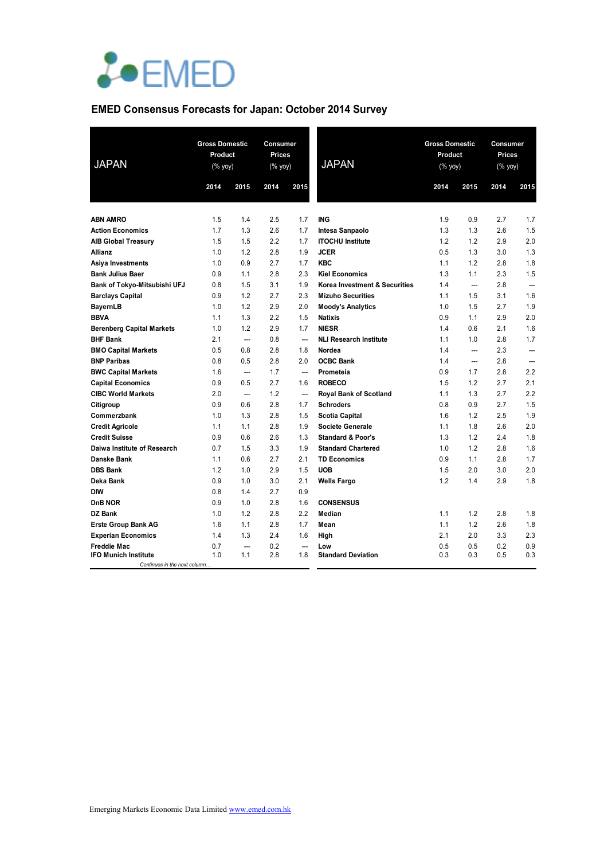

# **EMED Consensus Forecasts for Japan: October 2014 Survey**

| <b>JAPAN</b>                                                |      | <b>Gross Domestic</b><br>Product<br>(% yoy) |      | Consumer<br><b>Prices</b><br>$(% \mathsf{Y}\rightarrow \mathsf{Y})$ | <b>JAPAN</b>                  | <b>Gross Domestic</b><br>Product<br>(% yoy) |                          | <b>Consumer</b><br>Prices<br>$(%$ (% yoy) |                |
|-------------------------------------------------------------|------|---------------------------------------------|------|---------------------------------------------------------------------|-------------------------------|---------------------------------------------|--------------------------|-------------------------------------------|----------------|
|                                                             | 2014 | 2015                                        | 2014 | 2015                                                                |                               | 2014                                        | 2015                     | 2014                                      | 2015           |
|                                                             |      |                                             |      |                                                                     |                               |                                             |                          |                                           |                |
| <b>ABN AMRO</b>                                             | 1.5  | 1.4                                         | 2.5  | 1.7                                                                 | <b>ING</b>                    | 1.9                                         | 0.9                      | 2.7                                       | 1.7            |
| <b>Action Economics</b>                                     | 1.7  | 1.3                                         | 2.6  | 1.7                                                                 | Intesa Sanpaolo               | 1.3                                         | 1.3                      | 2.6                                       | 1.5            |
| <b>AIB Global Treasury</b>                                  | 1.5  | 1.5                                         | 2.2  | 1.7                                                                 | <b>ITOCHU Institute</b>       | 1.2                                         | 1.2                      | 2.9                                       | 2.0            |
| Allianz                                                     | 1.0  | 1.2                                         | 2.8  | 1.9                                                                 | <b>JCER</b>                   | 0.5                                         | 1.3                      | 3.0                                       | 1.3            |
| Asiya Investments                                           | 1.0  | 0.9                                         | 2.7  | 1.7                                                                 | <b>KBC</b>                    | 1.1                                         | 1.2                      | 2.8                                       | 1.8            |
| <b>Bank Julius Baer</b>                                     | 0.9  | 1.1                                         | 2.8  | 2.3                                                                 | <b>Kiel Economics</b>         | 1.3                                         | 1.1                      | 2.3                                       | 1.5            |
| Bank of Tokyo-Mitsubishi UFJ                                | 0.8  | 1.5                                         | 3.1  | 1.9                                                                 | Korea Investment & Securities | 1.4                                         | ---                      | 2.8                                       | $\overline{a}$ |
| <b>Barclays Capital</b>                                     | 0.9  | 1.2                                         | 2.7  | 2.3                                                                 | <b>Mizuho Securities</b>      | 1.1                                         | 1.5                      | 3.1                                       | 1.6            |
| <b>BayernLB</b>                                             | 1.0  | 1.2                                         | 2.9  | 2.0                                                                 | <b>Moody's Analytics</b>      | 1.0                                         | 1.5                      | 2.7                                       | 1.9            |
| <b>BBVA</b>                                                 | 1.1  | 1.3                                         | 2.2  | 1.5                                                                 | <b>Natixis</b>                | 0.9                                         | 1.1                      | 2.9                                       | 2.0            |
| <b>Berenberg Capital Markets</b>                            | 1.0  | 1.2                                         | 2.9  | 1.7                                                                 | <b>NIESR</b>                  | 1.4                                         | 0.6                      | 2.1                                       | 1.6            |
| <b>BHF Bank</b>                                             | 2.1  | ---                                         | 0.8  | $\overline{\phantom{a}}$                                            | <b>NLI Research Institute</b> | 1.1                                         | 1.0                      | 2.8                                       | 1.7            |
| <b>BMO Capital Markets</b>                                  | 0.5  | 0.8                                         | 2.8  | 1.8                                                                 | Nordea                        | 1.4                                         | $\overline{\phantom{a}}$ | 2.3                                       | $\overline{a}$ |
| <b>BNP Paribas</b>                                          | 0.8  | 0.5                                         | 2.8  | 2.0                                                                 | <b>OCBC Bank</b>              | 1.4                                         | $\overline{a}$           | 2.8                                       | $\overline{a}$ |
| <b>BWC Capital Markets</b>                                  | 1.6  | $\overline{\phantom{a}}$                    | 1.7  | $\overline{a}$                                                      | Prometeia                     | 0.9                                         | 1.7                      | 2.8                                       | 2.2            |
| <b>Capital Economics</b>                                    | 0.9  | 0.5                                         | 2.7  | 1.6                                                                 | <b>ROBECO</b>                 | 1.5                                         | 1.2                      | 2.7                                       | 2.1            |
| <b>CIBC World Markets</b>                                   | 2.0  | $\overline{\phantom{a}}$                    | 1.2  | $\overline{\phantom{a}}$                                            | <b>Royal Bank of Scotland</b> | 1.1                                         | 1.3                      | 2.7                                       | 2.2            |
| Citigroup                                                   | 0.9  | 0.6                                         | 2.8  | 1.7                                                                 | <b>Schroders</b>              | 0.8                                         | 0.9                      | 2.7                                       | 1.5            |
| Commerzbank                                                 | 1.0  | 1.3                                         | 2.8  | 1.5                                                                 | <b>Scotia Capital</b>         | 1.6                                         | 1.2                      | 2.5                                       | 1.9            |
| <b>Credit Agricole</b>                                      | 1.1  | 1.1                                         | 2.8  | 1.9                                                                 | <b>Societe Generale</b>       | 1.1                                         | 1.8                      | 2.6                                       | 2.0            |
| <b>Credit Suisse</b>                                        | 0.9  | 0.6                                         | 2.6  | 1.3                                                                 | <b>Standard &amp; Poor's</b>  | 1.3                                         | 1.2                      | 2.4                                       | 1.8            |
| Daiwa Institute of Research                                 | 0.7  | 1.5                                         | 3.3  | 1.9                                                                 | <b>Standard Chartered</b>     | 1.0                                         | 1.2                      | 2.8                                       | 1.6            |
| <b>Danske Bank</b>                                          | 1.1  | 0.6                                         | 2.7  | 2.1                                                                 | <b>TD Economics</b>           | 0.9                                         | 1.1                      | 2.8                                       | 1.7            |
| <b>DBS Bank</b>                                             | 1.2  | 1.0                                         | 2.9  | 1.5                                                                 | <b>UOB</b>                    | 1.5                                         | 2.0                      | 3.0                                       | 2.0            |
| Deka Bank                                                   | 0.9  | 1.0                                         | 3.0  | 2.1                                                                 | <b>Wells Fargo</b>            | 1.2                                         | 1.4                      | 2.9                                       | 1.8            |
| <b>DIW</b>                                                  | 0.8  | 1.4                                         | 2.7  | 0.9                                                                 |                               |                                             |                          |                                           |                |
| <b>DnB NOR</b>                                              | 0.9  | 1.0                                         | 2.8  | 1.6                                                                 | <b>CONSENSUS</b>              |                                             |                          |                                           |                |
| <b>DZ Bank</b>                                              | 1.0  | 1.2                                         | 2.8  | 2.2                                                                 | Median                        | 1.1                                         | 1.2                      | 2.8                                       | 1.8            |
| <b>Erste Group Bank AG</b>                                  | 1.6  | 1.1                                         | 2.8  | 1.7                                                                 | Mean                          | 1.1                                         | 1.2                      | 2.6                                       | 1.8            |
| <b>Experian Economics</b>                                   | 1.4  | 1.3                                         | 2.4  | 1.6                                                                 | High                          | 2.1                                         | 2.0                      | 3.3                                       | 2.3            |
| <b>Freddie Mac</b>                                          | 0.7  | $\overline{\phantom{a}}$                    | 0.2  | $\overline{\phantom{a}}$                                            | Low                           | 0.5                                         | 0.5                      | 0.2                                       | 0.9            |
| <b>IFO Munich Institute</b><br>Continues in the next column | 1.0  | 1.1                                         | 2.8  | 1.8                                                                 | <b>Standard Deviation</b>     | 0.3                                         | 0.3                      | 0.5                                       | 0.3            |
|                                                             |      |                                             |      |                                                                     |                               |                                             |                          |                                           |                |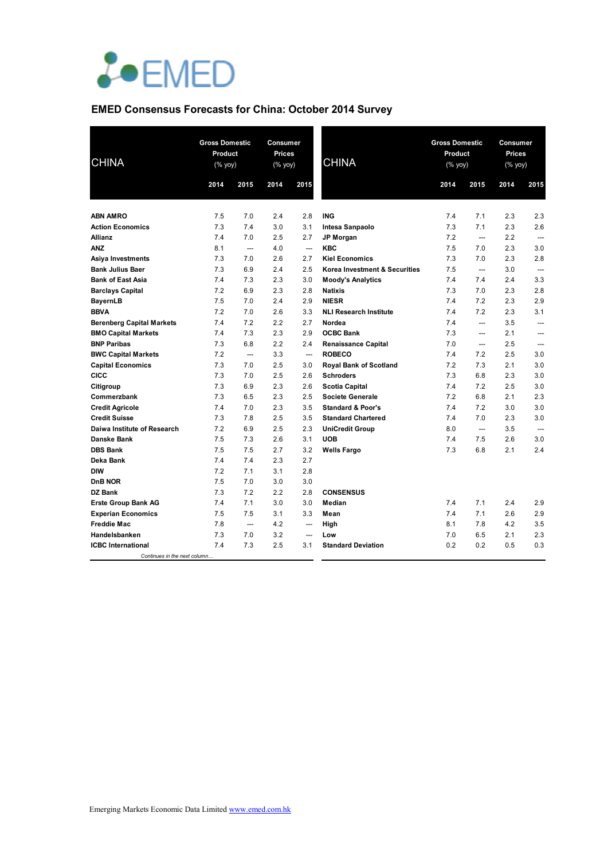

# **EMED Consensus Forecasts for China: October 2014 Survey**

| <b>CHINA</b>                     |      | <b>Gross Domestic</b><br>Product<br>(% yoy) |      | Consumer<br>Prices<br>(% yoy) | <b>CHINA</b>                  | <b>Gross Domestic</b><br>Product<br>(% yoy) |                          | Consumer<br>Prices<br>(% yoy) |                          |
|----------------------------------|------|---------------------------------------------|------|-------------------------------|-------------------------------|---------------------------------------------|--------------------------|-------------------------------|--------------------------|
|                                  | 2014 | 2015                                        | 2014 | 2015                          |                               | 2014                                        | 2015                     | 2014                          | 2015                     |
| <b>ABN AMRO</b>                  | 7.5  | 7.0                                         | 2.4  | 2.8                           | <b>ING</b>                    | 7.4                                         | 7.1                      | 2.3                           | 2.3                      |
| <b>Action Economics</b>          | 7.3  | 7.4                                         | 3.0  | 3.1                           | Intesa Sanpaolo               | 7.3                                         | 7.1                      | 2.3                           | 2.6                      |
| Allianz                          | 7.4  | 7.0                                         | 2.5  | 2.7                           | <b>JP Morgan</b>              | 7.2                                         | $\overline{a}$           | 2.2                           | $\overline{a}$           |
| <b>ANZ</b>                       | 8.1  | $\overline{\phantom{a}}$                    | 4.0  | $\overline{\phantom{a}}$      | <b>KBC</b>                    | 7.5                                         | 7.0                      | 2.3                           | 3.0                      |
| Asiya Investments                | 7.3  | 7.0                                         | 2.6  | 2.7                           | <b>Kiel Economics</b>         | 7.3                                         | 7.0                      | 2.3                           | 2.8                      |
| <b>Bank Julius Baer</b>          | 7.3  | 6.9                                         | 2.4  | 2.5                           | Korea Investment & Securities | 7.5                                         | $\overline{a}$           | 3.0                           | $\overline{\phantom{a}}$ |
| <b>Bank of East Asia</b>         | 7.4  | 7.3                                         | 2.3  | 3.0                           | <b>Moody's Analytics</b>      | 7.4                                         | 7.4                      | 2.4                           | 3.3                      |
| <b>Barclays Capital</b>          | 7.2  | 6.9                                         | 2.3  | 2.8                           | <b>Natixis</b>                | 7.3                                         | 7.0                      | 2.3                           | 2.8                      |
| <b>BayernLB</b>                  | 7.5  | 7.0                                         | 2.4  | 2.9                           | <b>NIESR</b>                  | 7.4                                         | 7.2                      | 2.3                           | 2.9                      |
| <b>BBVA</b>                      | 7.2  | 7.0                                         | 2.6  | 3.3                           | <b>NLI Research Institute</b> | 7.4                                         | 7.2                      | 2.3                           | 3.1                      |
| <b>Berenberg Capital Markets</b> | 7.4  | 7.2                                         | 2.2  | 2.7                           | Nordea                        | 7.4                                         | $\overline{a}$           | 3.5                           | $\overline{\phantom{a}}$ |
| <b>BMO Capital Markets</b>       | 7.4  | 7.3                                         | 2.3  | 2.9                           | <b>OCBC Bank</b>              | 7.3                                         | ---                      | 2.1                           | ---                      |
| <b>BNP Paribas</b>               | 7.3  | 6.8                                         | 2.2  | 2.4                           | <b>Renaissance Capital</b>    | 7.0                                         | ---                      | 2.5                           |                          |
| <b>BWC Capital Markets</b>       | 7.2  | $\overline{\phantom{a}}$                    | 3.3  | $\overline{\phantom{a}}$      | <b>ROBECO</b>                 | 7.4                                         | 7.2                      | 2.5                           | 3.0                      |
| <b>Capital Economics</b>         | 7.3  | 7.0                                         | 2.5  | 3.0                           | <b>Royal Bank of Scotland</b> | 7.2                                         | 7.3                      | 2.1                           | 3.0                      |
| CICC                             | 7.3  | 7.0                                         | 2.5  | 2.6                           | <b>Schroders</b>              | 7.3                                         | 6.8                      | 2.3                           | 3.0                      |
| Citigroup                        | 7.3  | 6.9                                         | 2.3  | 2.6                           | <b>Scotia Capital</b>         | 7.4                                         | 7.2                      | 2.5                           | 3.0                      |
| Commerzbank                      | 7.3  | 6.5                                         | 2.3  | 2.5                           | <b>Societe Generale</b>       | 7.2                                         | 6.8                      | 2.1                           | 2.3                      |
| <b>Credit Agricole</b>           | 7.4  | 7.0                                         | 2.3  | 3.5                           | <b>Standard &amp; Poor's</b>  | 7.4                                         | 7.2                      | 3.0                           | 3.0                      |
| <b>Credit Suisse</b>             | 7.3  | 7.8                                         | 2.5  | 3.5                           | <b>Standard Chartered</b>     | 7.4                                         | 7.0                      | 2.3                           | 3.0                      |
| Daiwa Institute of Research      | 7.2  | 6.9                                         | 2.5  | 2.3                           | <b>UniCredit Group</b>        | 8.0                                         | $\overline{\phantom{a}}$ | 3.5                           | $\overline{\phantom{a}}$ |
| Danske Bank                      | 7.5  | 7.3                                         | 2.6  | 3.1                           | <b>UOB</b>                    | 7.4                                         | 7.5                      | 2.6                           | 3.0                      |
| <b>DBS Bank</b>                  | 7.5  | 7.5                                         | 2.7  | 3.2                           | <b>Wells Fargo</b>            | 7.3                                         | 6.8                      | 2.1                           | 2.4                      |
| Deka Bank                        | 7.4  | 7.4                                         | 2.3  | 2.7                           |                               |                                             |                          |                               |                          |
| <b>DIW</b>                       | 7.2  | 7.1                                         | 3.1  | 2.8                           |                               |                                             |                          |                               |                          |
| <b>DnB NOR</b>                   | 7.5  | 7.0                                         | 3.0  | 3.0                           |                               |                                             |                          |                               |                          |
| <b>DZ Bank</b>                   | 7.3  | 7.2                                         | 2.2  | 2.8                           | <b>CONSENSUS</b>              |                                             |                          |                               |                          |
| <b>Erste Group Bank AG</b>       | 7.4  | 7.1                                         | 3.0  | 3.0                           | Median                        | 7.4                                         | 7.1                      | 2.4                           | 2.9                      |
| <b>Experian Economics</b>        | 7.5  | 7.5                                         | 3.1  | 3.3                           | Mean                          | 7.4                                         | 7.1                      | 2.6                           | 2.9                      |
| <b>Freddie Mac</b>               | 7.8  | $\overline{\phantom{a}}$                    | 4.2  | ---                           | High                          | 8.1                                         | 7.8                      | 4.2                           | 3.5                      |
| Handelsbanken                    | 7.3  | 7.0                                         | 3.2  | $\overline{a}$                | Low                           | 7.0                                         | 6.5                      | 2.1                           | 2.3                      |
| <b>ICBC</b> International        | 7.4  | 7.3                                         | 2.5  | 3.1                           | <b>Standard Deviation</b>     | 0.2                                         | 0.2                      | 0.5                           | 0.3                      |
| Continues in the next column     |      |                                             |      |                               |                               |                                             |                          |                               |                          |